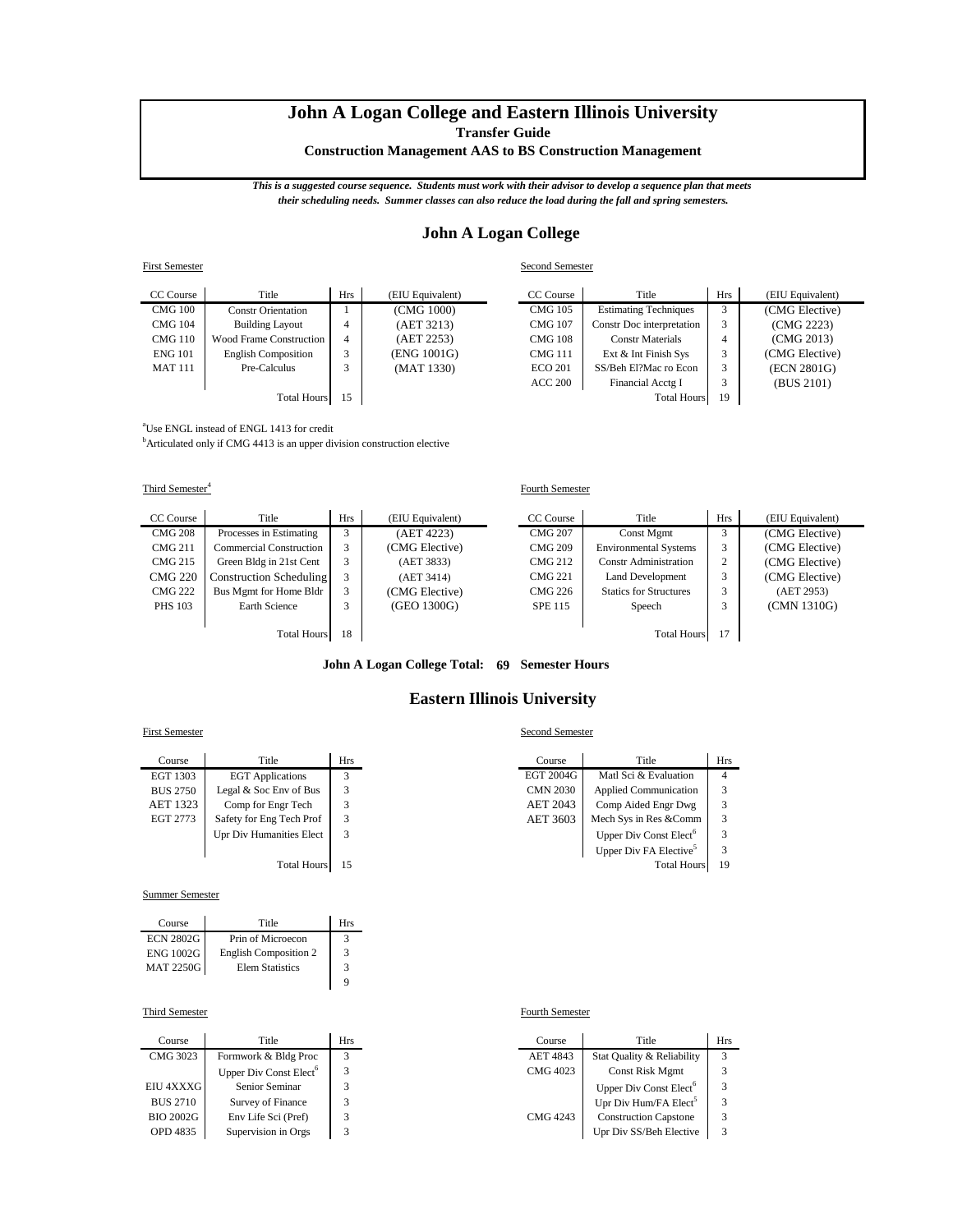# **John A Logan College and Eastern Illinois University**

**Transfer Guide**

**Construction Management AAS to BS Construction Management**

*This is a suggested course sequence. Students must work with their advisor to develop a sequence plan that meets their scheduling needs. Summer classes can also reduce the load during the fall and spring semesters.*

## **John A Logan College**

| <b>First Semester</b> |                                |                |                  | Second Semester |                              |            |                  |
|-----------------------|--------------------------------|----------------|------------------|-----------------|------------------------------|------------|------------------|
| CC Course             | Title                          | <b>Hrs</b>     | (EIU Equivalent) | CC Course       | Title                        | <b>Hrs</b> | (EIU Equivalent) |
| <b>CMG 100</b>        | <b>Constr Orientation</b>      |                | (CMG 1000)       | <b>CMG 105</b>  | <b>Estimating Techniques</b> |            | (CMG Elective)   |
| <b>CMG 104</b>        | <b>Building Layout</b>         | 4              | (AET 3213)       | <b>CMG 107</b>  | Constr Doc interpretation    |            | (CMG 2223)       |
| <b>CMG 110</b>        | <b>Wood Frame Construction</b> | $\overline{4}$ | (AET 2253)       | <b>CMG 108</b>  | <b>Constr Materials</b>      | 4          | (CMG 2013)       |
| <b>ENG 101</b>        | <b>English Composition</b>     | 3              | (ENG 1001G)      | <b>CMG111</b>   | Ext & Int Finish Sys         |            | (CMG Elective)   |
| <b>MAT 111</b>        | Pre-Calculus                   | 3              | (MAT 1330)       | <b>ECO 201</b>  | SS/Beh El?Mac ro Econ        |            | (ECN 2801G)      |
|                       |                                |                |                  | <b>ACC 200</b>  | Financial Acctg I            |            | (BUS 2101)       |
| <b>Total Hours</b>    |                                | 15             |                  |                 | <b>Total Hours</b>           | 19         |                  |

<sup>a</sup>Use ENGL instead of ENGL 1413 for credit

<sup>b</sup>Articulated only if CMG 4413 is an upper division construction elective

Third Semester<sup>4</sup>

| CC Course          | Title                          | <b>Hrs</b> | (EIU Equivalent) | CC Course      | Title                         | <b>Hrs</b> | (EIU Equivalent) |
|--------------------|--------------------------------|------------|------------------|----------------|-------------------------------|------------|------------------|
| <b>CMG 208</b>     | Processes in Estimating        | 3          | (AET 4223)       | <b>CMG 207</b> | Const Mgmt                    | Ć          | (CMG Elective)   |
| <b>CMG 211</b>     | Commercial Construction        | 3          | (CMG Elective)   | <b>CMG 209</b> | <b>Environmental Systems</b>  | 3          | (CMG Elective)   |
| <b>CMG 215</b>     | Green Bldg in 21st Cent        | 3          | (AET 3833)       | CMG 212        | <b>Constr Administration</b>  | 2          | (CMG Elective)   |
| <b>CMG 220</b>     | <b>Construction Scheduling</b> | 3          | (AET 3414)       | <b>CMG 221</b> | Land Development              | 3          | (CMG Elective)   |
| <b>CMG 222</b>     | Bus Mgmt for Home Bldr         | 3          | (CMG Elective)   | CMG 226        | <b>Statics for Structures</b> | 3          | (AET 2953)       |
| <b>PHS 103</b>     | Earth Science                  | 3          | (GEO 1300G)      | <b>SPE 115</b> | Speech                        | Ć          | (CMN 1310G)      |
|                    |                                |            |                  |                |                               |            |                  |
| <b>Total Hours</b> |                                | 18         |                  |                | <b>Total Hours</b>            | 17         |                  |

### **John A Logan College Total: 69 Semester Hours**

## **Eastern Illinois University**

### First Semester Second Semester

| Course             | Title                    | Hrs | Course          | Title                              | Hı |
|--------------------|--------------------------|-----|-----------------|------------------------------------|----|
| EGT 1303           | <b>EGT</b> Applications  |     | EGT 2004G       | Matl Sci & Evaluation              | 4  |
| <b>BUS 2750</b>    | Legal & Soc Env of Bus   |     | <b>CMN 2030</b> | <b>Applied Communication</b>       | 3  |
| <b>AET 1323</b>    | Comp for Engr Tech       |     | AET 2043        | Comp Aided Engr Dwg                | 3  |
| EGT 2773           | Safety for Eng Tech Prof |     | AET 3603        | Mech Sys in Res &Comm              | 3  |
|                    | Upr Div Humanities Elect | 3   |                 | Upper Div Const Elect <sup>6</sup> | 3  |
|                    |                          |     |                 | Upper Div FA Elective <sup>5</sup> | 3  |
| <b>Total Hours</b> |                          | 15  |                 | <b>Total Hours</b>                 | 19 |

#### Summer Semester

| Course           | Title                        | Hrs |
|------------------|------------------------------|-----|
| <b>ECN 2802G</b> | Prin of Microecon            |     |
| <b>ENG 1002G</b> | <b>English Composition 2</b> | 3   |
| <b>MAT 2250G</b> | <b>Elem Statistics</b>       | 3   |
|                  |                              | Q   |

#### Third Semester Fourth Semester

| Course          | Title                              | Hrs | Course   | Title                              | Hı |
|-----------------|------------------------------------|-----|----------|------------------------------------|----|
| CMG 3023        | Formwork & Bldg Proc               |     | AET 4843 | Stat Quality & Reliability         | 3  |
|                 | Upper Div Const Elect <sup>6</sup> |     | CMG 4023 | <b>Const Risk Mgmt</b>             | 3  |
| EIU 4XXXG       | Senior Seminar                     |     |          | Upper Div Const Elect <sup>6</sup> | 3  |
| <b>BUS 2710</b> | Survey of Finance                  |     |          | Upr Div Hum/FA Elect <sup>5</sup>  | 3  |
| BIO 2002G       | Env Life Sci (Pref)                |     | CMG 4243 | <b>Construction Capstone</b>       | 3  |
| OPD 4835        | Supervision in Orgs                |     |          | Upr Div SS/Beh Elective            | 3  |

Fourth Semester

| Course  | Title                    | Hrs | Course          | Title                              | <b>Hrs</b> |
|---------|--------------------------|-----|-----------------|------------------------------------|------------|
| GT 1303 | <b>EGT</b> Applications  |     | EGT 2004G       | Matl Sci & Evaluation              |            |
| US 2750 | Legal & Soc Env of Bus   |     | <b>CMN 2030</b> | Applied Communication              |            |
| ET 1323 | Comp for Engr Tech       |     | <b>AET 2043</b> | Comp Aided Engr Dwg                |            |
| GT 2773 | Safety for Eng Tech Prof |     | AET 3603        | Mech Sys in Res &Comm              |            |
|         | Upr Div Humanities Elect |     |                 | Upper Div Const Elect <sup>6</sup> |            |
|         |                          |     |                 | Upper Div FA Elective <sup>5</sup> |            |
|         | <b>Total Hours</b>       |     |                 | <b>Total Hours</b>                 | 19         |

| Course          | Title                              | <b>Hrs</b> | Course          | Title                              | <b>Hrs</b>   |
|-----------------|------------------------------------|------------|-----------------|------------------------------------|--------------|
| CMG 3023        | Formwork & Bldg Proc               |            | <b>AET 4843</b> | Stat Quality & Reliability         | $\mathbf{R}$ |
|                 | Upper Div Const Elect <sup>6</sup> |            | CMG 4023        | <b>Const Risk Mgmt</b>             |              |
| EIU 4XXXG       | Senior Seminar                     |            |                 | Upper Div Const Elect <sup>6</sup> |              |
| <b>BUS 2710</b> | Survey of Finance                  |            |                 | Upr Div Hum/FA Elect <sup>5</sup>  |              |
| BIO 2002G       | Env Life Sci (Pref)                |            | <b>CMG 4243</b> | <b>Construction Capstone</b>       |              |
| OPD 4835        | Supervision in Orgs                |            |                 | Upr Div SS/Beh Elective            |              |